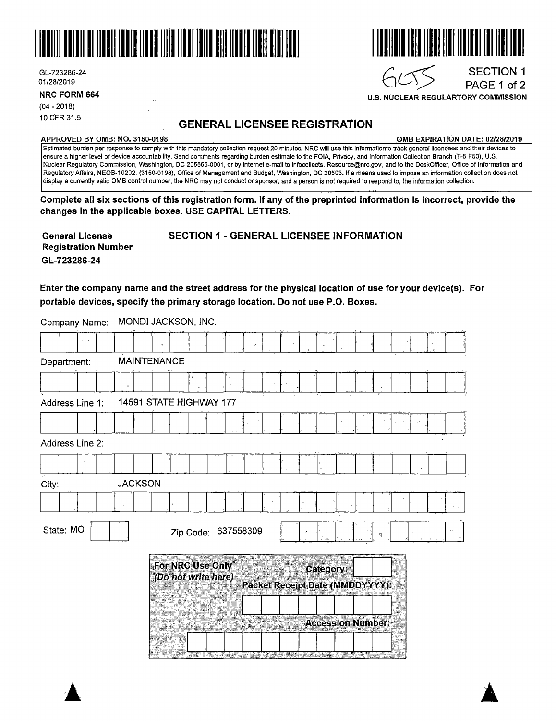



**NRC FORM 664** 

(04 - 2018) 10 CFR 31.5

### **GENERAL LICENSEE REGISTRATION**

#### **APPROVED BY 0MB: NO. 3150-0198 0MB EXPIRATION DATE: 02/28/2019**

SECTION 1 PAGE 1 of 2

Estimated burden per response to comply with this mandatory collection request 20 minutes. NRC will use this informationto track general licencees and their devices to ensure a higher level of device accountability. Send comments regarding burden estimate to the FOIA, Privacy, and Information Collection Branch (T-5 F53), U.S. Nuclear Regulatory Commission, Washington, DC 205555-0001, or by internet e-mail to lnfocollects. Resource@nrc.gov, and to the DeskOfficer, Office of Information and Regulatory Affairs, NEOB-10202, (3150-0198), Office of Management and Budget, Washington, DC 20503. If a means used to impose an information collection does not display a currently valid 0MB control number, the NRC may not conduct or sponsor, and a person is not required to respond to, the information collection.

**Complete all six sections of this registration form. If any of the preprinted information is incorrect, provide the changes in the applicable boxes. USE CAPITAL LETTERS.** 

**General License Registration Number GL-723286-24** 

**SECTION 1** - **GENERAL LICENSEE INFORMATION** 

**Enter the company name and the street address for the physical location of use for your device(s). For portable devices, specify the primary storage location. Do not use P .0. Boxes.** 

|       | Company Name:   |  |                    | <b>INUNDI JAUKSUN, INU.</b>             |           |  |           |  |           |  |                                 |  |  |
|-------|-----------------|--|--------------------|-----------------------------------------|-----------|--|-----------|--|-----------|--|---------------------------------|--|--|
|       |                 |  |                    |                                         |           |  |           |  |           |  |                                 |  |  |
|       | Department:     |  | <b>MAINTENANCE</b> |                                         |           |  |           |  |           |  |                                 |  |  |
|       |                 |  |                    |                                         |           |  |           |  |           |  |                                 |  |  |
|       | Address Line 1: |  |                    | 14591 STATE HIGHWAY 177                 |           |  |           |  |           |  |                                 |  |  |
|       |                 |  |                    |                                         |           |  |           |  |           |  |                                 |  |  |
|       | Address Line 2: |  |                    |                                         |           |  |           |  |           |  |                                 |  |  |
|       |                 |  |                    |                                         |           |  |           |  |           |  |                                 |  |  |
| City: |                 |  | <b>JACKSON</b>     |                                         |           |  |           |  |           |  |                                 |  |  |
|       |                 |  |                    |                                         |           |  |           |  |           |  |                                 |  |  |
|       | State: MO       |  |                    |                                         | Zip Code: |  | 637558309 |  |           |  |                                 |  |  |
|       |                 |  |                    | For NRC Use Only<br>(Do not write here) |           |  |           |  | Category: |  | Packet Receipt Date (MMDDYYYY): |  |  |
|       |                 |  |                    |                                         |           |  |           |  |           |  | <b>Accession Number:</b>        |  |  |
|       |                 |  |                    |                                         |           |  |           |  |           |  |                                 |  |  |

Company Name: MONDI JACKSON, INC.



 $GCT$ 

**U.S. NUCLEAR REGULARTORY COMMISSION**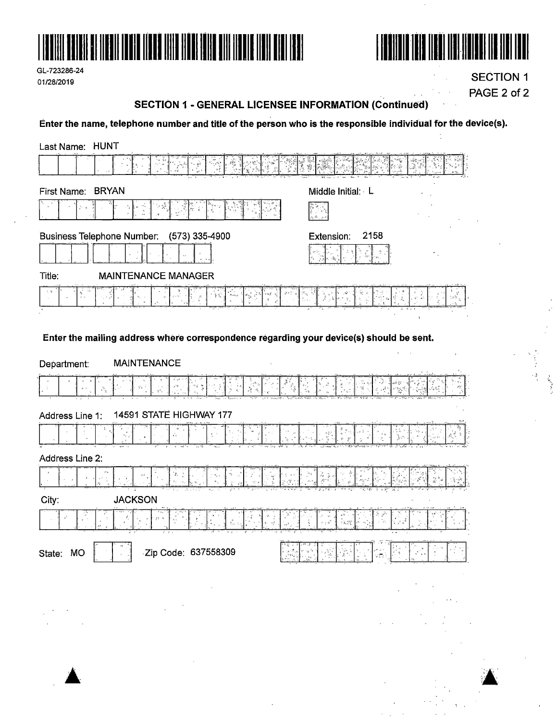

| GL-723286-24 |  |
|--------------|--|
| 01/28/2019   |  |



**SECTION 1** PAGE 2 of 2

# **SECTION 1 - GENERAL LICENSEE INFORMATION (Continued)**

Enter the name, telephone number and title of the person who is the responsible individual for the device(s).

| Last Name: HUNT                                                                                                                                                                                                                                                                                                                                                                                                                                             |                                                   |
|-------------------------------------------------------------------------------------------------------------------------------------------------------------------------------------------------------------------------------------------------------------------------------------------------------------------------------------------------------------------------------------------------------------------------------------------------------------|---------------------------------------------------|
|                                                                                                                                                                                                                                                                                                                                                                                                                                                             |                                                   |
| <b>BRYAN</b><br>First Name:                                                                                                                                                                                                                                                                                                                                                                                                                                 | Middle Initial: L                                 |
|                                                                                                                                                                                                                                                                                                                                                                                                                                                             |                                                   |
| <b>Business Telephone Number:</b><br>(573) 335-4900                                                                                                                                                                                                                                                                                                                                                                                                         | 2158<br>Extension:                                |
|                                                                                                                                                                                                                                                                                                                                                                                                                                                             |                                                   |
| Title:<br><b>MAINTENANCE MANAGER</b>                                                                                                                                                                                                                                                                                                                                                                                                                        |                                                   |
| ै.<br>ज                                                                                                                                                                                                                                                                                                                                                                                                                                                     |                                                   |
|                                                                                                                                                                                                                                                                                                                                                                                                                                                             |                                                   |
| Enter the mailing address where correspondence regarding your device(s) should be sent.                                                                                                                                                                                                                                                                                                                                                                     |                                                   |
| <b>MAINTENANCE</b><br>Department:                                                                                                                                                                                                                                                                                                                                                                                                                           |                                                   |
| ψĥ                                                                                                                                                                                                                                                                                                                                                                                                                                                          |                                                   |
| 14591 STATE HIGHWAY 177<br>Address Line 1:                                                                                                                                                                                                                                                                                                                                                                                                                  |                                                   |
|                                                                                                                                                                                                                                                                                                                                                                                                                                                             |                                                   |
| Address Line 2:                                                                                                                                                                                                                                                                                                                                                                                                                                             |                                                   |
|                                                                                                                                                                                                                                                                                                                                                                                                                                                             |                                                   |
| City:<br><b>JACKSON</b>                                                                                                                                                                                                                                                                                                                                                                                                                                     |                                                   |
|                                                                                                                                                                                                                                                                                                                                                                                                                                                             | $\frac{1}{2}$ , $\frac{1}{2}$<br>٦b<br>$r\pm v^2$ |
| 丙<br>l^ s∹<br>h 이외 도 예 도제 (41)<br>Zip Code: 637558309<br>State: MO                                                                                                                                                                                                                                                                                                                                                                                          |                                                   |
| $\mathcal{L}(\mathcal{L}(\mathcal{L}(\mathcal{L}(\mathcal{L}(\mathcal{L}(\mathcal{L}(\mathcal{L}(\mathcal{L}(\mathcal{L}(\mathcal{L}(\mathcal{L}(\mathcal{L}(\mathcal{L}(\mathcal{L}(\mathcal{L}(\mathcal{L}(\mathcal{L}(\mathcal{L}(\mathcal{L}(\mathcal{L}(\mathcal{L}(\mathcal{L}(\mathcal{L}(\mathcal{L}(\mathcal{L}(\mathcal{L}(\mathcal{L}(\mathcal{L}(\mathcal{L}(\mathcal{L}(\mathcal{L}(\mathcal{L}(\mathcal{L}(\mathcal{L}(\mathcal{L}(\mathcal{$ |                                                   |
| $\label{eq:2.1} \frac{1}{\sqrt{2}}\int_{\mathbb{R}^3}\frac{1}{\sqrt{2}}\left(\frac{1}{\sqrt{2}}\right)^2\frac{1}{\sqrt{2}}\left(\frac{1}{\sqrt{2}}\right)^2\frac{1}{\sqrt{2}}\left(\frac{1}{\sqrt{2}}\right)^2\frac{1}{\sqrt{2}}\left(\frac{1}{\sqrt{2}}\right)^2\frac{1}{\sqrt{2}}\left(\frac{1}{\sqrt{2}}\right)^2\frac{1}{\sqrt{2}}\frac{1}{\sqrt{2}}\frac{1}{\sqrt{2}}\frac{1}{\sqrt{2}}\frac{1}{\sqrt{2}}\frac{1}{\sqrt{2}}$                           |                                                   |
|                                                                                                                                                                                                                                                                                                                                                                                                                                                             |                                                   |
|                                                                                                                                                                                                                                                                                                                                                                                                                                                             |                                                   |
| the control of the control of the                                                                                                                                                                                                                                                                                                                                                                                                                           |                                                   |
|                                                                                                                                                                                                                                                                                                                                                                                                                                                             |                                                   |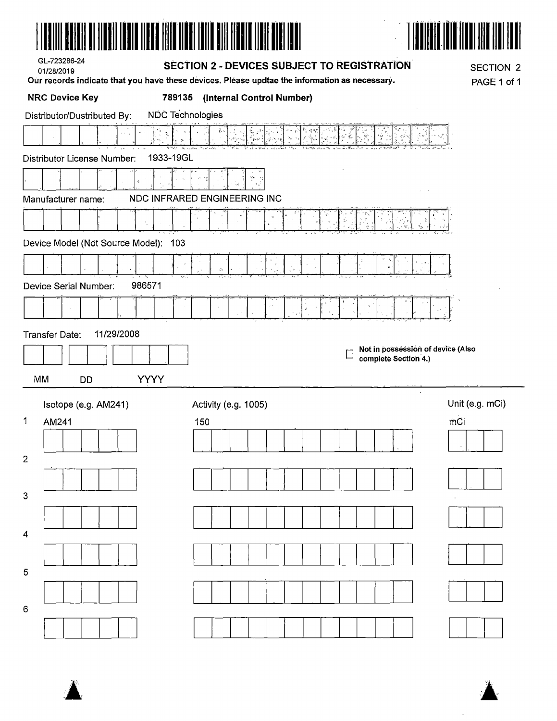



| GL-723286-24 |
|--------------|
| 01/28/2019   |

### SECTION 2 - DEVICES SUBJECT TO REGISTRATION

Our records indicate that you have these devices. Please updtae the information as necessary.

**SECTION 2** PAGE 1 of 1

| <b>NRC Device Key</b><br>789135                        | (Internal Control Number)                      |                 |
|--------------------------------------------------------|------------------------------------------------|-----------------|
| <b>NDC Technologies</b><br>Distributor/Dustributed By: |                                                |                 |
|                                                        | $v_{\rm a}$<br>$\gamma_{\rm c}^{\rm R}$<br>У., |                 |
| 1933-19GL<br>Distributor License Number:               |                                                |                 |
|                                                        |                                                |                 |
| Manufacturer name:                                     | NDC INFRARED ENGINEERING INC                   |                 |
|                                                        |                                                |                 |
| Device Model (Not Source Model): 103                   |                                                |                 |
|                                                        | $\mathcal{L}^{\mathcal{A}}$                    |                 |
| 986571<br>Device Serial Number:                        |                                                |                 |
|                                                        | S.                                             |                 |
| 11/29/2008<br>Transfer Date:                           |                                                |                 |
|                                                        | Not in possession of device (Also<br>$\Box$    |                 |
|                                                        | complete Section 4.)                           |                 |
| <b>YYYY</b><br>MM<br><b>DD</b>                         |                                                |                 |
| Isotope (e.g. AM241)                                   | Activity (e.g. 1005)                           | Unit (e.g. mCi) |
| 1<br>AM241                                             | 150                                            | mCi             |
|                                                        |                                                |                 |
| $\overline{c}$                                         |                                                |                 |
| 3                                                      |                                                |                 |
|                                                        |                                                |                 |
| 4                                                      |                                                |                 |
|                                                        |                                                |                 |
|                                                        |                                                |                 |
| 5                                                      |                                                |                 |
| 6                                                      |                                                |                 |



 $\mathcal{L}$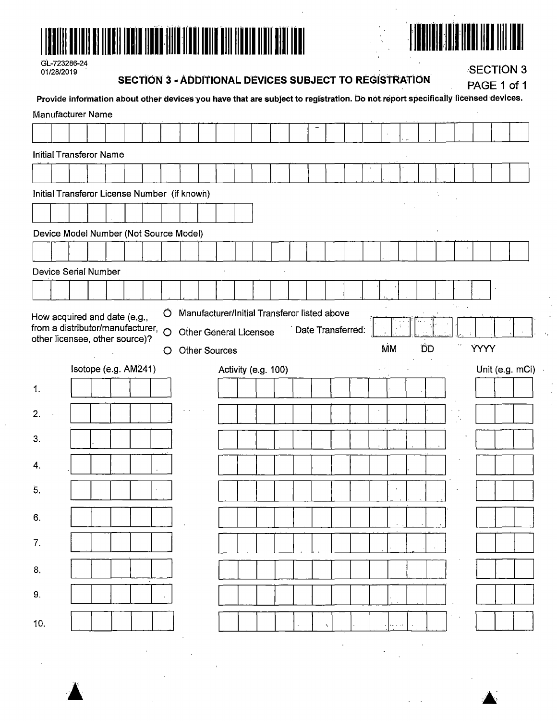



| GL-723286-24 |
|--------------|
| 01/28/2019   |

SECTION 3 - ADDITIONAL DEVICES SUBJECT TO REGISTRATION

**SECTION 3** 

|                  |                                                                                                                                                      |  |  |         |  | SECTION 3 - ADDITIONAL DEVICES SUBJECT TO REGISTRATION |                     |  |  |                   |           |  |           |  |             | PAGE 1 of 1    |
|------------------|------------------------------------------------------------------------------------------------------------------------------------------------------|--|--|---------|--|--------------------------------------------------------|---------------------|--|--|-------------------|-----------|--|-----------|--|-------------|----------------|
|                  | Provide information about other devices you have that are subject to registration. Do not report specifically licensed devices.<br>Manufacturer Name |  |  |         |  |                                                        |                     |  |  |                   |           |  |           |  |             |                |
|                  |                                                                                                                                                      |  |  |         |  |                                                        |                     |  |  |                   |           |  |           |  |             |                |
|                  | <b>Initial Transferor Name</b>                                                                                                                       |  |  |         |  |                                                        |                     |  |  |                   |           |  |           |  |             |                |
|                  |                                                                                                                                                      |  |  |         |  |                                                        |                     |  |  |                   |           |  |           |  |             |                |
|                  | Initial Transferor License Number (if known)                                                                                                         |  |  |         |  |                                                        |                     |  |  |                   |           |  |           |  |             |                |
|                  |                                                                                                                                                      |  |  |         |  |                                                        |                     |  |  |                   |           |  |           |  |             |                |
|                  | Device Model Number (Not Source Model)                                                                                                               |  |  |         |  |                                                        |                     |  |  |                   |           |  |           |  |             |                |
|                  |                                                                                                                                                      |  |  |         |  |                                                        |                     |  |  |                   |           |  |           |  |             |                |
|                  | Device Serial Number                                                                                                                                 |  |  |         |  |                                                        |                     |  |  |                   |           |  |           |  |             |                |
|                  |                                                                                                                                                      |  |  |         |  |                                                        |                     |  |  |                   |           |  |           |  |             |                |
|                  | How acquired and date (e.g.,                                                                                                                         |  |  | $\circ$ |  | Manufacturer/Initial Transferor listed above           |                     |  |  |                   |           |  |           |  |             |                |
|                  | from a distributor/manufacturer,<br>other licensee, other source)?                                                                                   |  |  | $\circ$ |  | Other General Licensee                                 |                     |  |  | Date Transferred. |           |  |           |  |             |                |
|                  |                                                                                                                                                      |  |  | O       |  | <b>Other Sources</b>                                   |                     |  |  |                   | <b>MM</b> |  | <b>DD</b> |  | <b>YYYY</b> |                |
|                  |                                                                                                                                                      |  |  |         |  |                                                        |                     |  |  |                   |           |  |           |  |             |                |
|                  | Isotope (e.g. AM241)                                                                                                                                 |  |  |         |  |                                                        | Activity (e.g. 100) |  |  |                   |           |  |           |  |             | Unit (e.g. mCi |
| 1.               |                                                                                                                                                      |  |  |         |  |                                                        |                     |  |  |                   |           |  |           |  |             |                |
| $\overline{2}$ . |                                                                                                                                                      |  |  |         |  |                                                        |                     |  |  |                   |           |  |           |  |             |                |
| 3.               |                                                                                                                                                      |  |  |         |  |                                                        |                     |  |  |                   |           |  |           |  |             |                |
|                  |                                                                                                                                                      |  |  |         |  |                                                        |                     |  |  |                   |           |  |           |  |             |                |
| 4.               |                                                                                                                                                      |  |  |         |  |                                                        |                     |  |  |                   |           |  |           |  |             |                |
| 5.               |                                                                                                                                                      |  |  |         |  |                                                        |                     |  |  |                   |           |  |           |  |             |                |
| 6.               |                                                                                                                                                      |  |  |         |  |                                                        |                     |  |  |                   |           |  |           |  |             |                |
| 7.               |                                                                                                                                                      |  |  |         |  |                                                        |                     |  |  |                   |           |  |           |  |             |                |
|                  |                                                                                                                                                      |  |  |         |  |                                                        |                     |  |  |                   |           |  |           |  |             |                |
| 8.               |                                                                                                                                                      |  |  |         |  |                                                        |                     |  |  |                   |           |  |           |  |             |                |
| 9.               |                                                                                                                                                      |  |  |         |  |                                                        |                     |  |  |                   |           |  |           |  |             |                |
| 10.              |                                                                                                                                                      |  |  |         |  |                                                        |                     |  |  |                   |           |  |           |  |             |                |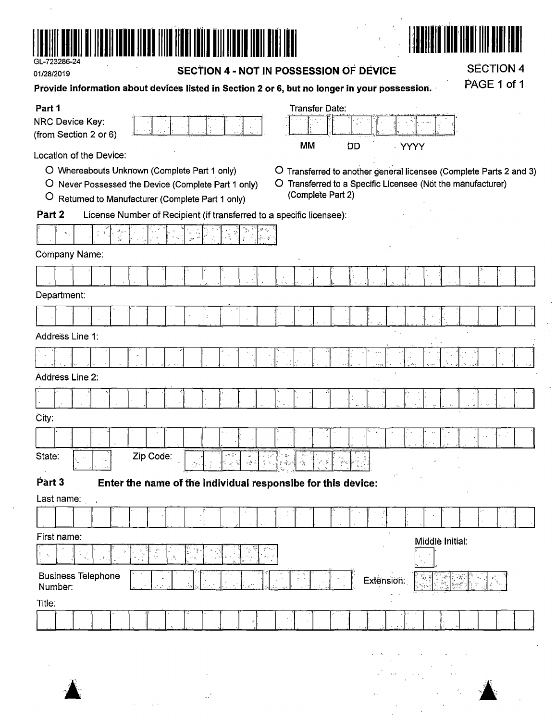

| ---------  |  |
|------------|--|
| 01/28/2019 |  |
|            |  |

 $\bar{.}$ 

#### SECTION 4 - NOT IN POSSESSION OF DEVICE

**SECTION 4** PAGE 1 of 1

| Provide information about devices listed in Section 2 or 6, but no longer in your possession. |
|-----------------------------------------------------------------------------------------------|
|-----------------------------------------------------------------------------------------------|

| Part 1                                                                                    | Transfer Date:                                                     |
|-------------------------------------------------------------------------------------------|--------------------------------------------------------------------|
| NRC Device Key:                                                                           |                                                                    |
| (from Section 2 or 6)                                                                     | MM<br><b>DD</b><br><b>YYYY</b>                                     |
| Location of the Device:                                                                   |                                                                    |
| O Whereabouts Unknown (Complete Part 1 only)                                              | O Transferred to another general licensee (Complete Parts 2 and 3) |
| O Never Possessed the Device (Complete Part 1 only)                                       | O Transferred to a Specific Licensee (Not the manufacturer)        |
| $\circ$<br>Returned to Manufacturer (Complete Part 1 only)                                | (Complete Part 2)                                                  |
| Part 2<br>License Number of Recipient (if transferred to a specific licensee):            |                                                                    |
| أأفريق                                                                                    |                                                                    |
| Company Náme:                                                                             |                                                                    |
|                                                                                           |                                                                    |
| Department:                                                                               |                                                                    |
|                                                                                           |                                                                    |
| Address Line 1:                                                                           | $\sim$ .                                                           |
|                                                                                           |                                                                    |
| Address Line 2:                                                                           |                                                                    |
|                                                                                           |                                                                    |
|                                                                                           |                                                                    |
| City:                                                                                     |                                                                    |
|                                                                                           |                                                                    |
| State:<br>Zip Code:<br>४ मुझ<br>$\mathcal{Z}$<br>$\frac{1}{2}$ and $\frac{1}{2}$          | مي".<br>$\frac{d^2}{d^2}$<br>$\mathbf{X}^{A,\varphi}$<br>-8        |
| Part 3<br>Enter the name of the individual responsibe for this device:                    |                                                                    |
| Last name:                                                                                |                                                                    |
|                                                                                           |                                                                    |
| First name:                                                                               | Middle Initial:                                                    |
| $\frac{1}{2}$<br>事にな<br>P,<br>$\mathbf{g}_\mathrm{in}$ , $\mathbf{g}'$<br>$\mathcal{Q}_i$ |                                                                    |
| <b>Business Telephone</b><br>÷<br>Number:                                                 | t alle<br>Extension:                                               |
| Title:                                                                                    |                                                                    |
|                                                                                           |                                                                    |
|                                                                                           |                                                                    |
|                                                                                           |                                                                    |

 $\mathbf{L}$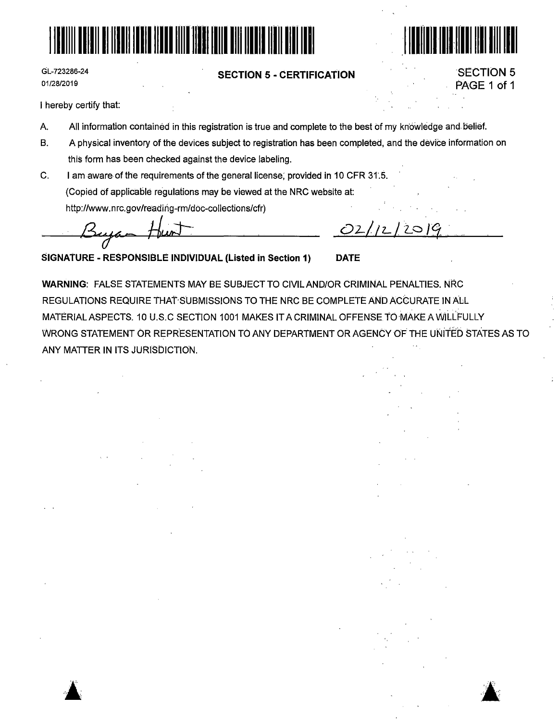



GL-723286-24 01/28/2019

#### **SECTION 5** - **CERTIFICATION**

SECTION 5 PAGE 1 of 1

I hereby certify that:

 $\blacktriangle$  .

- A All information contained in this registration is true and complete to the best of my kn'owledge and. belief.
- B. A physical inventory of the devices subject to registration has been completed, and the device information on this form has been checked against the device labeling.
- C. I am aware- of the requirements of the general license; provided in 10 CFR 31'.5. (Copied of applicable regulations may be viewed at the NRC website at: http://www.nrc.gov/reading-rm/doc-collections/cfr)

~~- *Hw:t=* 

 $O2/12$  $201$ 

**SIGNAlURE** - **RESPONSIBLE INDIVIDUAL (Listed in Section 1) DATE** 

**WARNING:** FALSE STATEMENTS MAY BE SUBJECT TO CIVILAND/OR CRIMINAL PENALTIES. NRC REGULATIONS REQUIRE THAT·SUBMISSIONS TO THE NRC BE COMPLETE AND ACCURATE IN ALL MATERIAL ASPECTS. 10 U.S.C SECTION 1001 MAKES IT A CRIMINAL OFFENSE TO MAKE A WILLFULLY WRONG STATEMENT OR REPRESENTATION TO ANY DEPARTMENT OR AGENCY OF THE UNITED STATES AS TO ANY MATTER IN ITS JURISDICTION.